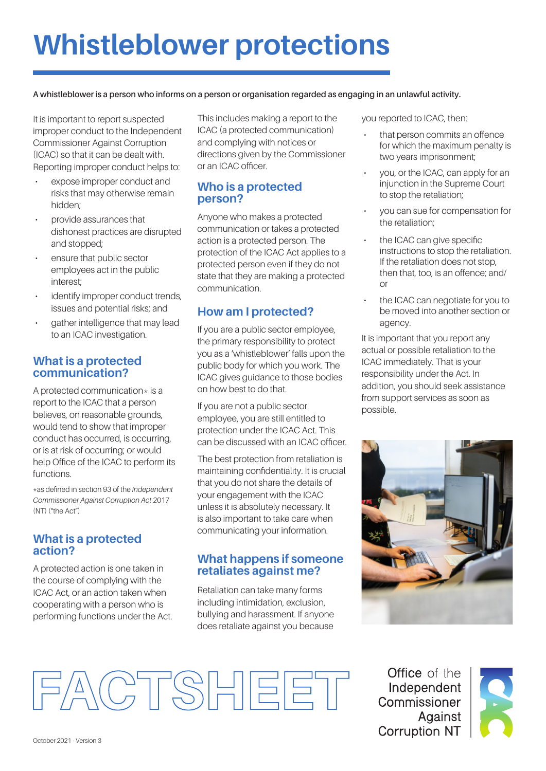# **Whistleblower protections**

**A whistleblower is a person who informs on a person or organisation regarded as engaging in an unlawful activity.**

It is important to report suspected improper conduct to the Independent Commissioner Against Corruption (ICAC) so that it can be dealt with. Reporting improper conduct helps to:

- expose improper conduct and risks that may otherwise remain hidden;
- provide assurances that dishonest practices are disrupted and stopped;
- ensure that public sector employees act in the public interest;
- identify improper conduct trends. issues and potential risks; and
- gather intelligence that may lead to an ICAC investigation.

#### **What is a protected communication?**

A protected communication $*$  is a report to the ICAC that a person believes, on reasonable grounds, would tend to show that improper conduct has occurred, is occurring, or is at risk of occurring; or would help Office of the ICAC to perform its functions.

\*as defined in section 93 of the *Independent Commissioner Against Corruption Act* 2017 (NT) ("the Act")

#### **What is a protected action?**

A protected action is one taken in the course of complying with the ICAC Act, or an action taken when cooperating with a person who is performing functions under the Act. This includes making a report to the ICAC (a protected communication) and complying with notices or directions given by the Commissioner or an ICAC officer.

## **Who is a protected person?**

Anyone who makes a protected communication or takes a protected action is a protected person. The protection of the ICAC Act applies to a protected person even if they do not state that they are making a protected communication.

## **How am I protected?**

If you are a public sector employee, the primary responsibility to protect you as a 'whistleblower' falls upon the public body for which you work. The ICAC gives guidance to those bodies on how best to do that.

If you are not a public sector employee, you are still entitled to protection under the ICAC Act. This can be discussed with an ICAC officer.

The best protection from retaliation is maintaining confidentiality. It is crucial that you do not share the details of your engagement with the ICAC unless it is absolutely necessary. It is also important to take care when communicating your information.

#### **What happens if someone retaliates against me?**

Retaliation can take many forms including intimidation, exclusion, bullying and harassment. If anyone does retaliate against you because

you reported to ICAC, then:

- that person commits an offence for which the maximum penalty is two years imprisonment;
- you, or the ICAC, can apply for an injunction in the Supreme Court to stop the retaliation;
- you can sue for compensation for the retaliation;
- the ICAC can give specific instructions to stop the retaliation. If the retaliation does not stop, then that, too, is an offence; and/ or
- the ICAC can negotiate for you to be moved into another section or agency.

It is important that you report any actual or possible retaliation to the ICAC immediately. That is your responsibility under the Act. In addition, you should seek assistance from support services as soon as possible.



**Office** of the Independent Commissioner Against **Corruption NT**